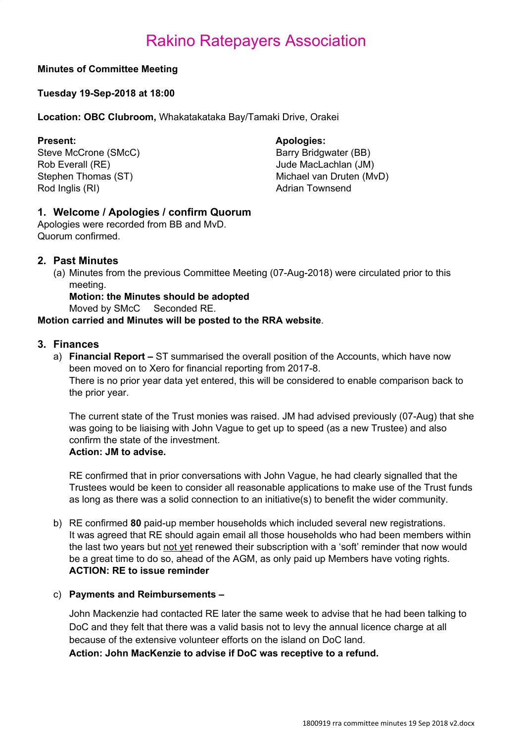#### **Minutes of Committee Meeting**

#### **Tuesday 19-Sep-2018 at 18:00**

**Location: OBC Clubroom,** Whakatakataka Bay/Tamaki Drive, Orakei

Steve McCrone (SMcC) Barry Bridgwater (BB) Rob Everall (RE) **Notify Accord 2012** 10:40 Jude MacLachlan (JM) Rod Inglis (RI) **Rod Inglis (RI) Adrian Townsend** 

#### **Present: Apologies:**

Stephen Thomas (ST) Michael van Druten (MvD)

### **1. Welcome / Apologies / confirm Quorum**

Apologies were recorded from BB and MvD. Quorum confirmed.

#### **2. Past Minutes**

(a) Minutes from the previous Committee Meeting (07-Aug-2018) were circulated prior to this meeting.

**Motion: the Minutes should be adopted**

Moved by SMcC Seconded RE.

#### **Motion carried and Minutes will be posted to the RRA website**.

#### **3. Finances**

a) **Financial Report –** ST summarised the overall position of the Accounts, which have now been moved on to Xero for financial reporting from 2017-8. There is no prior year data yet entered, this will be considered to enable comparison back to the prior year.

The current state of the Trust monies was raised. JM had advised previously (07-Aug) that she was going to be liaising with John Vague to get up to speed (as a new Trustee) and also confirm the state of the investment.

#### **Action: JM to advise.**

RE confirmed that in prior conversations with John Vague, he had clearly signalled that the Trustees would be keen to consider all reasonable applications to make use of the Trust funds as long as there was a solid connection to an initiative(s) to benefit the wider community.

b) RE confirmed **80** paid-up member households which included several new registrations. It was agreed that RE should again email all those households who had been members within the last two years but not yet renewed their subscription with a 'soft' reminder that now would be a great time to do so, ahead of the AGM, as only paid up Members have voting rights. **ACTION: RE to issue reminder**

#### c) **Payments and Reimbursements –**

John Mackenzie had contacted RE later the same week to advise that he had been talking to DoC and they felt that there was a valid basis not to levy the annual licence charge at all because of the extensive volunteer efforts on the island on DoC land.

**Action: John MacKenzie to advise if DoC was receptive to a refund.**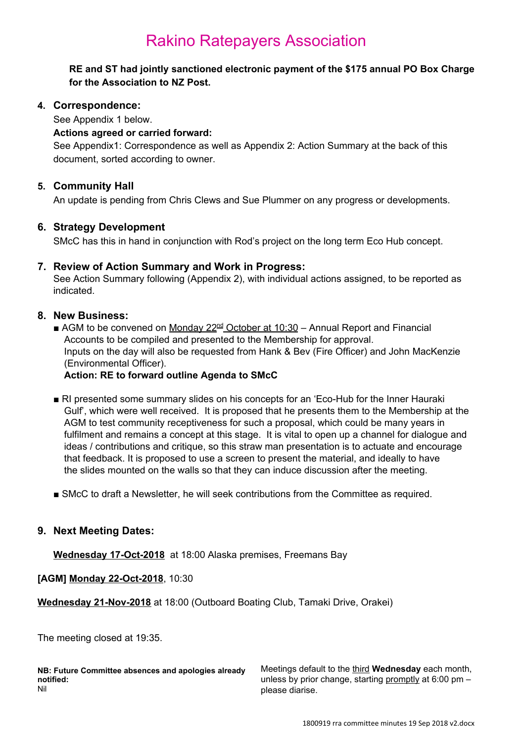**RE and ST had jointly sanctioned electronic payment of the \$175 annual PO Box Charge for the Association to NZ Post.**

#### **4. Correspondence:**

See Appendix 1 below.

#### **Actions agreed or carried forward:**

See Appendix1: Correspondence as well as Appendix 2: Action Summary at the back of this document, sorted according to owner.

#### **5. Community Hall**

An update is pending from Chris Clews and Sue Plummer on any progress or developments.

#### **6. Strategy Development**

SMcC has this in hand in conjunction with Rod's project on the long term Eco Hub concept.

#### **7. Review of Action Summary and Work in Progress:**

See Action Summary following (Appendix 2), with individual actions assigned, to be reported as indicated.

#### **8. New Business:**

■ AGM to be convened on Monday 22<sup>nd</sup> October at 10:30 - Annual Report and Financial Accounts to be compiled and presented to the Membership for approval. Inputs on the day will also be requested from Hank & Bev (Fire Officer) and John MacKenzie (Environmental Officer).

#### **Action: RE to forward outline Agenda to SMcC**

- RI presented some summary slides on his concepts for an 'Eco-Hub for the Inner Hauraki Gulf', which were well received. It is proposed that he presents them to the Membership at the AGM to test community receptiveness for such a proposal, which could be many years in fulfilment and remains a concept at this stage. It is vital to open up a channel for dialogue and ideas / contributions and critique, so this straw man presentation is to actuate and encourage that feedback. It is proposed to use a screen to present the material, and ideally to have the slides mounted on the walls so that they can induce discussion after the meeting.
- SMcC to draft a Newsletter, he will seek contributions from the Committee as required.

#### **9. Next Meeting Dates:**

**Wednesday 17-Oct-2018** at 18:00 Alaska premises, Freemans Bay

**[AGM] Monday 22-Oct-2018**, 10:30

**Wednesday 21-Nov-2018** at 18:00 (Outboard Boating Club, Tamaki Drive, Orakei)

The meeting closed at 19:35.

**NB: Future Committee absences and apologies already notified:** Nil

Meetings default to the third **Wednesday** each month, unless by prior change, starting promptly at  $6:00$  pm  $$ please diarise.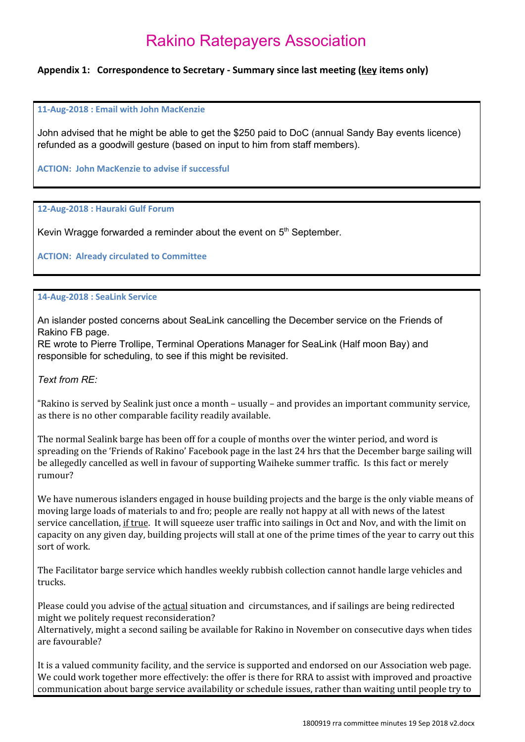#### **Appendix 1: Correspondence to Secretary - Summary since last meeting (key items only)**

**11-Aug-2018 : Email with John MacKenzie**

John advised that he might be able to get the \$250 paid to DoC (annual Sandy Bay events licence) refunded as a goodwill gesture (based on input to him from staff members).

**ACTION: John MacKenzie to advise if successful**

**12-Aug-2018 : Hauraki Gulf Forum**

Kevin Wragge forwarded a reminder about the event on  $5<sup>th</sup>$  September.

**ACTION: Already circulated to Committee**

#### **14-Aug-2018 : SeaLink Service**

An islander posted concerns about SeaLink cancelling the December service on the Friends of Rakino FB page.

RE wrote to Pierre Trollipe, Terminal Operations Manager for SeaLink (Half moon Bay) and responsible for scheduling, to see if this might be revisited.

*Text from RE:*

"Rakino is served by Sealink just once a month – usually – and provides an important community service, as there is no other comparable facility readily available.

The normal Sealink barge has been off for a couple of months over the winter period, and word is spreading on the 'Friends of Rakino' Facebook page in the last 24 hrs that the December barge sailing will be allegedly cancelled as well in favour of supporting Waiheke summer traffic. Is this fact or merely rumour?

We have numerous islanders engaged in house building projects and the barge is the only viable means of moving large loads of materials to and fro; people are really not happy at all with news of the latest service cancellation, <u>if true</u>. It will squeeze user traffic into sailings in Oct and Nov, and with the limit on capacity on any given day, building projects will stall at one of the prime times of the year to carry out this sort of work.

The Facilitator barge service which handles weekly rubbish collection cannot handle large vehicles and trucks.

Please could you advise of the actual situation and circumstances, and if sailings are being redirected might we politely request reconsideration?

Alternatively, might a second sailing be available for Rakino in November on consecutive days when tides are favourable?

It is a valued community facility, and the service is supported and endorsed on our Association web page. We could work together more effectively: the offer is there for RRA to assist with improved and proactive communication about barge service availability or schedule issues, rather than waiting until people try to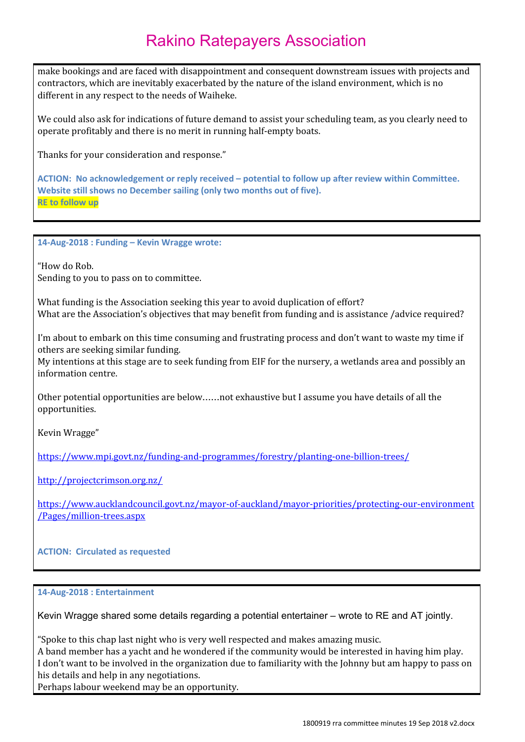make bookings and are faced with disappointment and consequent downstream issues with projects and contractors, which are inevitably exacerbated by the nature of the island environment, which is no different in any respect to the needs of Waiheke.

We could also ask for indications of future demand to assist your scheduling team, as you clearly need to operate profitably and there is no merit in running half-empty boats.

Thanks for your consideration and response."

**ACTION: No acknowledgement or reply received – potential to follow up after review within Committee. Website still shows no December sailing (only two months out of five). RE to follow up**

**14-Aug-2018 : Funding – Kevin Wragge wrote:**

"How do Rob. Sending to you to pass on to committee.

What funding is the Association seeking this year to avoid duplication of effort? What are the Association's objectives that may benefit from funding and is assistance /advice required?

I'm about to embark on this time consuming and frustrating process and don't want to waste my time if others are seeking similar funding.

My intentions at this stage are to seek funding from EIF for the nursery, a wetlands area and possibly an information centre.

Other potential opportunities are below……not exhaustive but I assume you have details of all the opportunities.

Kevin Wragge"

<https://www.mpi.govt.nz/funding-and-programmes/forestry/planting-one-billion-trees/>

<http://projectcrimson.org.nz/>

[https://www.aucklandcouncil.govt.nz/mayor-of-auckland/mayor-priorities/protecting-our-environment](https://www.aucklandcouncil.govt.nz/mayor-of-auckland/mayor-priorities/protecting-our-environment/Pages/million-trees.aspx) [/Pages/million-trees.aspx](https://www.aucklandcouncil.govt.nz/mayor-of-auckland/mayor-priorities/protecting-our-environment/Pages/million-trees.aspx)

#### **ACTION: Circulated as requested**

**14-Aug-2018 : Entertainment**

Kevin Wragge shared some details regarding a potential entertainer – wrote to RE and AT jointly.

"Spoke to this chap last night who is very well respected and makes amazing music.

A band member has a yacht and he wondered if the community would be interested in having him play. I don't want to be involved in the organization due to familiarity with the Johnny but am happy to pass on his details and help in any negotiations.

Perhaps labour weekend may be an opportunity.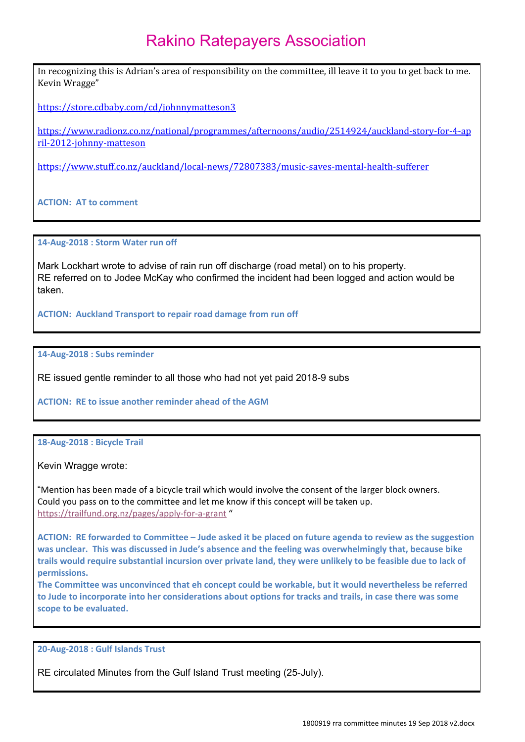In recognizing this is Adrian's area of responsibility on the committee, ill leave it to you to get back to me. Kevin Wragge"

<https://store.cdbaby.com/cd/johnnymatteson3>

[https://www.radionz.co.nz/national/programmes/afternoons/audio/2514924/auckland-story-for-4-ap](https://www.radionz.co.nz/national/programmes/afternoons/audio/2514924/auckland-story-for-4-april-2012-johnny-matteson) [ril-2012-johnny-matteson](https://www.radionz.co.nz/national/programmes/afternoons/audio/2514924/auckland-story-for-4-april-2012-johnny-matteson)

<https://www.stuff.co.nz/auckland/local-news/72807383/music-saves-mental-health-sufferer>

**ACTION: AT to comment**

**14-Aug-2018 : Storm Water run off**

Mark Lockhart wrote to advise of rain run off discharge (road metal) on to his property. RE referred on to Jodee McKay who confirmed the incident had been logged and action would be taken.

**ACTION: Auckland Transport to repair road damage from run off**

**14-Aug-2018 : Subs reminder**

RE issued gentle reminder to all those who had not yet paid 2018-9 subs

**ACTION: RE to issue another reminder ahead of the AGM**

**18-Aug-2018 : Bicycle Trail**

Kevin Wragge wrote:

"Mention has been made of a bicycle trail which would involve the consent of the larger block owners. Could you pass on to the committee and let me know if this concept will be taken up. <https://trailfund.org.nz/pages/apply-for-a-grant> "

ACTION: RE forwarded to Committee - Jude asked it be placed on future agenda to review as the suggestion **was unclear. This was discussed in Jude's absence and the feeling was overwhelmingly that, because bike** trails would require substantial incursion over private land, they were unlikely to be feasible due to lack of **permissions.**

**The Committee was unconvinced that eh concept could be workable, but it would nevertheless be referred** to Jude to incorporate into her considerations about options for tracks and trails, in case there was some **scope to be evaluated.**

**20-Aug-2018 : Gulf Islands Trust**

RE circulated Minutes from the Gulf Island Trust meeting (25-July).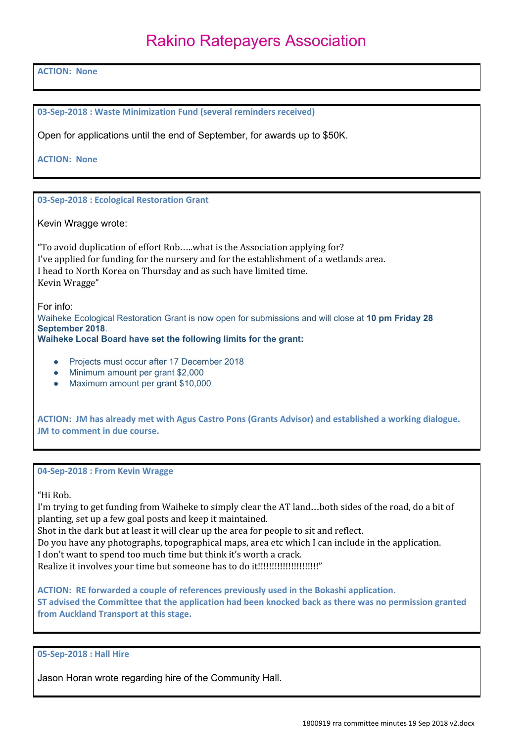**ACTION: None**

**03-Sep-2018 : Waste Minimization Fund (several reminders received)**

Open for applications until the end of September, for awards up to \$50K.

**ACTION: None**

**03-Sep-2018 : Ecological Restoration Grant**

Kevin Wragge wrote:

"To avoid duplication of effort Rob…..what is the Association applying for? I've applied for funding for the nursery and for the establishment of a wetlands area. I head to North Korea on Thursday and as such have limited time. Kevin Wragge"

For info:

Waiheke Ecological Restoration Grant is now open for submissions and will close at **10 pm Friday 28 September 2018**.

**Waiheke Local Board have set the following limits for the grant:**

- Projects must occur after 17 December 2018
- Minimum amount per grant \$2,000
- Maximum amount per grant \$10,000

**ACTION: JM has already met with Agus Castro Pons (Grants Advisor) and established a working dialogue. JM to comment in due course.**

**04-Sep-2018 : From Kevin Wragge**

"Hi Rob.

I'm trying to get funding from Waiheke to simply clear the AT land…both sides of the road, do a bit of planting, set up a few goal posts and keep it maintained.

Shot in the dark but at least it will clear up the area for people to sit and reflect.

Do you have any photographs, topographical maps, area etc which I can include in the application.

I don't want to spend too much time but think it's worth a crack.

Realize it involves your time but someone has to do it!!!!!!!!!!!!!!!!!!!!!!"

**ACTION: RE forwarded a couple of references previously used in the Bokashi application. ST advised the Committee that the application had been knocked back as there was no permission granted from Auckland Transport at this stage.**

**05-Sep-2018 : Hall Hire**

Jason Horan wrote regarding hire of the Community Hall.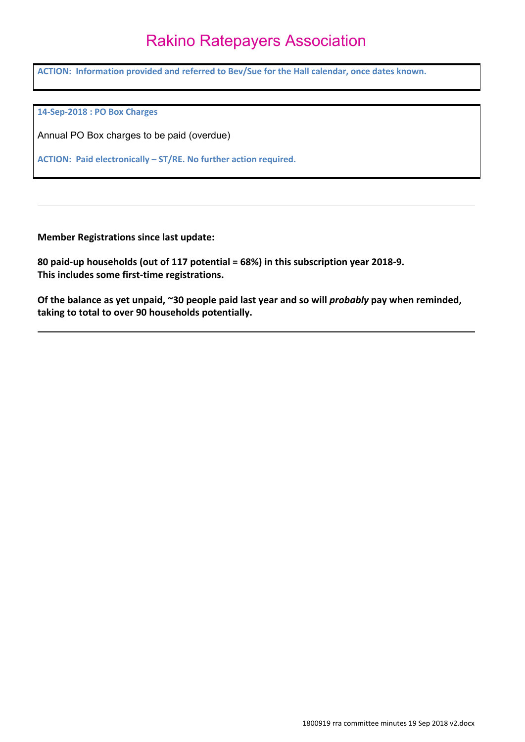**ACTION: Information provided and referred to Bev/Sue for the Hall calendar, once dates known.**

**14-Sep-2018 : PO Box Charges**

Annual PO Box charges to be paid (overdue)

**ACTION: Paid electronically – ST/RE. No further action required.**

**Member Registrations since last update:**

**80 paid-up households (out of 117 potential = 68%) in this subscription year 2018-9. This includes some first-time registrations.**

**Of the balance as yet unpaid, ~30 people paid last year and so will** *probably* **pay when reminded, taking to total to over 90 households potentially.**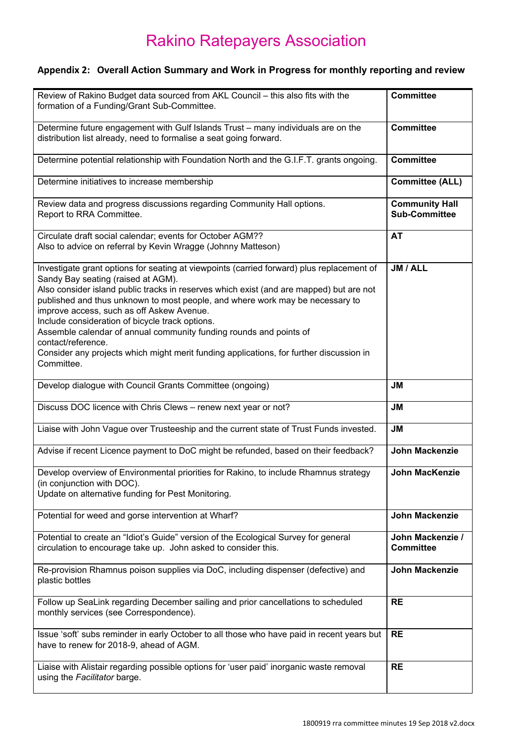### **Appendix 2: Overall Action Summary and Work in Progress for monthly reporting and review**

| Review of Rakino Budget data sourced from AKL Council - this also fits with the                                                                                                                                                                                                                                                                                                                                                                                                                                                                                                                                  | <b>Committee</b>                              |
|------------------------------------------------------------------------------------------------------------------------------------------------------------------------------------------------------------------------------------------------------------------------------------------------------------------------------------------------------------------------------------------------------------------------------------------------------------------------------------------------------------------------------------------------------------------------------------------------------------------|-----------------------------------------------|
| formation of a Funding/Grant Sub-Committee.                                                                                                                                                                                                                                                                                                                                                                                                                                                                                                                                                                      |                                               |
| Determine future engagement with Gulf Islands Trust - many individuals are on the<br>distribution list already, need to formalise a seat going forward.                                                                                                                                                                                                                                                                                                                                                                                                                                                          | <b>Committee</b>                              |
| Determine potential relationship with Foundation North and the G.I.F.T. grants ongoing.                                                                                                                                                                                                                                                                                                                                                                                                                                                                                                                          | <b>Committee</b>                              |
| Determine initiatives to increase membership                                                                                                                                                                                                                                                                                                                                                                                                                                                                                                                                                                     | <b>Committee (ALL)</b>                        |
| Review data and progress discussions regarding Community Hall options.<br>Report to RRA Committee.                                                                                                                                                                                                                                                                                                                                                                                                                                                                                                               | <b>Community Hall</b><br><b>Sub-Committee</b> |
| Circulate draft social calendar; events for October AGM??<br>Also to advice on referral by Kevin Wragge (Johnny Matteson)                                                                                                                                                                                                                                                                                                                                                                                                                                                                                        | <b>AT</b>                                     |
| Investigate grant options for seating at viewpoints (carried forward) plus replacement of<br>Sandy Bay seating (raised at AGM).<br>Also consider island public tracks in reserves which exist (and are mapped) but are not<br>published and thus unknown to most people, and where work may be necessary to<br>improve access, such as off Askew Avenue.<br>Include consideration of bicycle track options.<br>Assemble calendar of annual community funding rounds and points of<br>contact/reference.<br>Consider any projects which might merit funding applications, for further discussion in<br>Committee. | JM / ALL                                      |
| Develop dialogue with Council Grants Committee (ongoing)                                                                                                                                                                                                                                                                                                                                                                                                                                                                                                                                                         | <b>JM</b>                                     |
| Discuss DOC licence with Chris Clews - renew next year or not?                                                                                                                                                                                                                                                                                                                                                                                                                                                                                                                                                   | <b>JM</b>                                     |
| Liaise with John Vague over Trusteeship and the current state of Trust Funds invested.                                                                                                                                                                                                                                                                                                                                                                                                                                                                                                                           | <b>JM</b>                                     |
| Advise if recent Licence payment to DoC might be refunded, based on their feedback?                                                                                                                                                                                                                                                                                                                                                                                                                                                                                                                              | <b>John Mackenzie</b>                         |
| Develop overview of Environmental priorities for Rakino, to include Rhamnus strategy<br>(in conjunction with DOC).<br>Update on alternative funding for Pest Monitoring.                                                                                                                                                                                                                                                                                                                                                                                                                                         | <b>John MacKenzie</b>                         |
| Potential for weed and gorse intervention at Wharf?                                                                                                                                                                                                                                                                                                                                                                                                                                                                                                                                                              | <b>John Mackenzie</b>                         |
| Potential to create an "Idiot's Guide" version of the Ecological Survey for general<br>circulation to encourage take up. John asked to consider this.                                                                                                                                                                                                                                                                                                                                                                                                                                                            | John Mackenzie /<br><b>Committee</b>          |
| Re-provision Rhamnus poison supplies via DoC, including dispenser (defective) and<br>plastic bottles                                                                                                                                                                                                                                                                                                                                                                                                                                                                                                             | <b>John Mackenzie</b>                         |
| Follow up SeaLink regarding December sailing and prior cancellations to scheduled<br>monthly services (see Correspondence).                                                                                                                                                                                                                                                                                                                                                                                                                                                                                      | <b>RE</b>                                     |
| Issue 'soft' subs reminder in early October to all those who have paid in recent years but<br>have to renew for 2018-9, ahead of AGM.                                                                                                                                                                                                                                                                                                                                                                                                                                                                            | <b>RE</b>                                     |
| Liaise with Alistair regarding possible options for 'user paid' inorganic waste removal<br>using the Facilitator barge.                                                                                                                                                                                                                                                                                                                                                                                                                                                                                          | <b>RE</b>                                     |